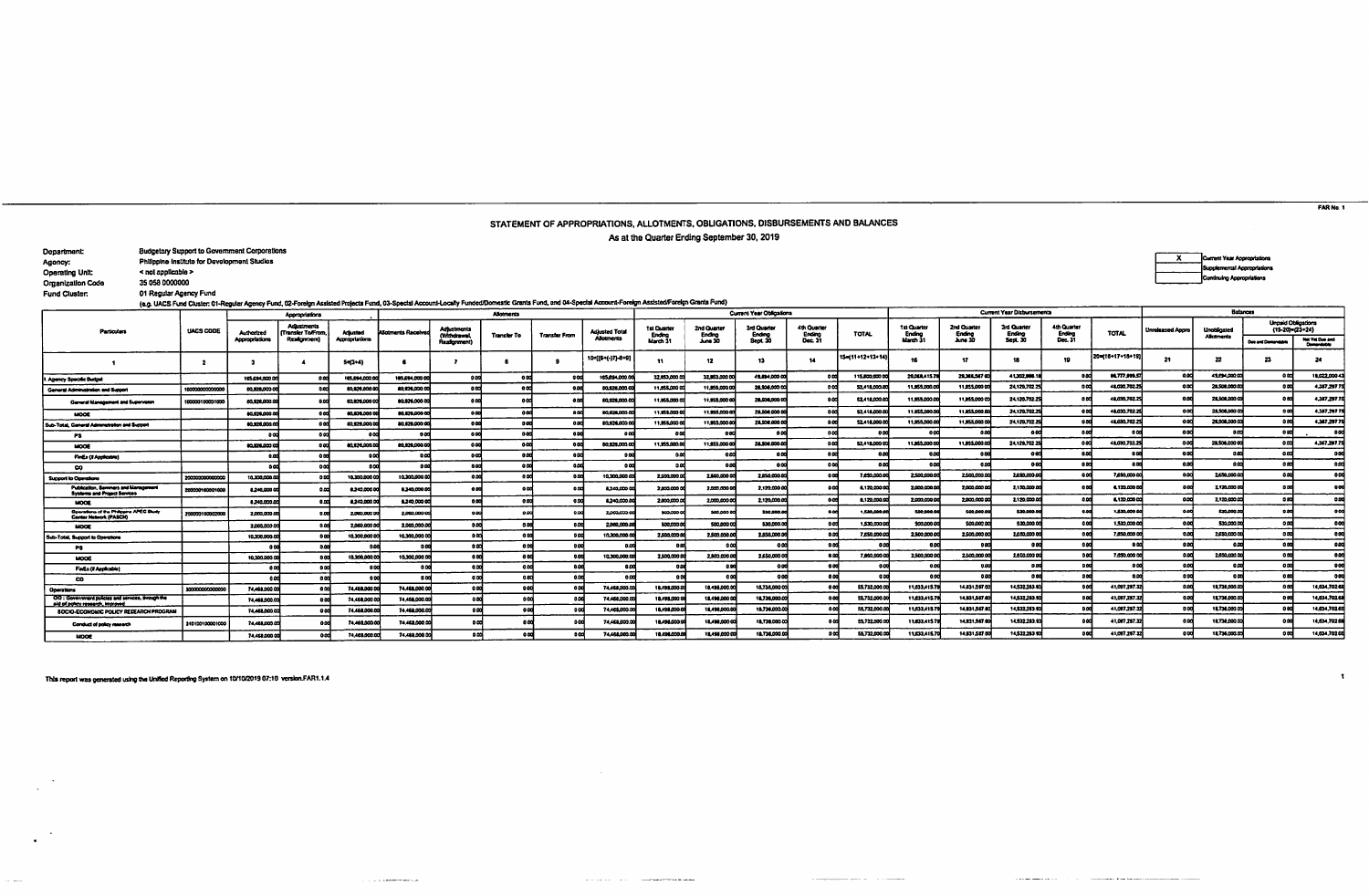## STATEMENT OF APPROPRIATIONS, ALLOTMENTS, OBLIGATIONS, DISBURSEMENTS AND BALANCES

As at the Quarter Ending September 30, 2019

| Department:              | <b>Budgetary Support to Government Corporations</b> |
|--------------------------|-----------------------------------------------------|
| Agoney:                  | Philippine institute for Development Studies        |
| Operating Unit:          | < not applicable >                                  |
| <b>Organization Code</b> | 35 058 0000000                                      |

Fund Cluster:

 $\sim$   $\sim$   $\sim$   $\sim$   $\sim$   $\sim$   $\sim$ 

|                                                                                       |                   |                | Appropriations                               |                |                         |                                   | <b>Allotments</b>  |                      |                       |                       |                       | Current Year Obligations |                       |                  |                       |                       | <b>Current Year Disbursements</b> |                       | Balances                       |                         |                          |                                                  |                                             |  |  |
|---------------------------------------------------------------------------------------|-------------------|----------------|----------------------------------------------|----------------|-------------------------|-----------------------------------|--------------------|----------------------|-----------------------|-----------------------|-----------------------|--------------------------|-----------------------|------------------|-----------------------|-----------------------|-----------------------------------|-----------------------|--------------------------------|-------------------------|--------------------------|--------------------------------------------------|---------------------------------------------|--|--|
| Particulars                                                                           | UACS CODE         | Authorized     | <b>Adaptments</b><br><b>Transfer To/From</b> | Adjusted       | <b>Sotments Receive</b> | <b>Adjustments</b><br>(Vitrukawa) | <b>Transfer To</b> | <b>Transfer From</b> | <b>Adjusted Total</b> | tsi Cuarter<br>Ending | 2nd Quarter<br>Ending | 3rd Quarter<br>Ending    | 4th Quarter<br>Ending | TOTAL.           | 1st Quarter<br>Ending | 2nd Quarter<br>Ending | 3rd Quarter<br>Endino             | 4th Quarter<br>Enting | TOTAL                          | <b>Unreleased Appro</b> | Unobligated<br>Alkaments | <b>Unouid Obligations</b><br>$(15-20) = (23+24)$ |                                             |  |  |
|                                                                                       |                   | Appropristions | Realignment)                                 | Appropriations |                         | Readcrement                       |                    |                      | <b>Abounents</b>      | March 3               | June 30               | Sept. 30                 | Dec. 31               |                  | March 31              | June 30               | Sept. 30                          | Dec. 31               |                                |                         |                          | Dan and Demandabl                                | <b>Ret Vot Dun and</b><br><b>Comprehens</b> |  |  |
|                                                                                       |                   |                |                                              | 5=(3+4)        |                         |                                   |                    |                      | 10=[(6+(-)7)-8+9]     | -11                   | 12                    | 13.                      | 14                    | 15=(11+12+13+14) | 16                    | 17                    | 18                                | 19                    | 20=(16+17+18+19                | -21                     | 22                       | 23                                               | 24                                          |  |  |
| Agency Specific Budgel                                                                |                   | 115.034.000.00 |                                              | 105,094,000.0  | 105.694.000.00          | 0.00                              | $^{\circ}$         |                      | 165.694.000.0         | 32.853,000.0          | 32.033.000.0          | 49.894,000.00            |                       | 115,800,000 0    | 28.068.415.1          | 29,306,567            | 41,302,906.1                      |                       | 0.77333.5                      |                         | 49.094.000.00            | 00                                               | 19,022,0004                                 |  |  |
| General Administration and Support                                                    | 1000000000000     | 00.026.003.0   |                                              | 03:25:000.0    | 80,926,000.00           | <b>0.00</b>                       | $^{\circ}$         | 0 <sup>o</sup>       | 80.925.000.00         | 11.855,000 00         | 11,955,000.00         | 28,506,000 00            |                       | 52.418.000.00    | 11,855,000.0          | 11.855.000 00         | 24120,702.2                       |                       | 48.030.702.2                   |                         | 28.508.000.0             |                                                  | 4,387,297.7                                 |  |  |
| General Management and Supervision                                                    | 0000010000100     | 00.028.000.00  |                                              | 03,925,000 00  | 00.026.000.00           | 00                                |                    | -0.0                 | 80 826 000.00         | 11.055.000.00         | 11.555,000 00         | 20.500.000.00            |                       | 52.418.000.00    | 11.955.000.00         | 11.953.000.00         | 24.120.702.25                     |                       | 48.030.702.2                   |                         | 28.508.000.0             |                                                  | 4.387.297.7                                 |  |  |
| MODE                                                                                  |                   | 03/02/02/02 0  |                                              | 80,826,000 0   | 00.026.000 OC           | a ani                             | 6 M                |                      | 80,028,000            | 11.855.000.00         | 119550000             | 28.508.000.00            |                       | \$2,418,000.0    | 11,935,000.0          | 11.855,000.00         | 24 120,702.2                      |                       | 48.030.702.2                   |                         | 28,508,000 0             |                                                  | 4,387,2077                                  |  |  |
| Sub-Total, General Administration and Support                                         |                   | 00325.000.0    |                                              | 00.028.000.0   | 80.825.000.00           | $^{\circ}$                        |                    |                      | 00326.000.00          | 11,955,000 00         | 11.955.000.0          | 28,508,000 0             |                       | \$2,418,000.00   | 11,955,000.00         | 11,955,000.00         | 24,120,702.2                      |                       | 48.030.702.2                   |                         | 28,508,000.0             | 00                                               | 4,387,297.7                                 |  |  |
| PS.                                                                                   |                   |                |                                              |                |                         | .com                              | 0.O                | 0 <sup>2</sup>       | .ac                   | 000                   | o s                   | مه ه                     |                       | 0.00             | 0 <sup>0</sup>        | - o od                |                                   | ood                   |                                |                         |                          |                                                  |                                             |  |  |
| MODE                                                                                  |                   | 00.926.000.0   |                                              | 00.026,000.0   | 00.026.000.00           | 00                                | 6 <sub>m</sub>     | $^{\circ}$           | 80.825.000.0          | 11.855.000.00         | 11.055.000.0          | 28,508,000.00            |                       | 52.418,000.00    | 11,955,000 00         | 11,955,000.00         | 24.120.702.2                      |                       | 41,030,702.2                   |                         | 28,506,000 t             |                                                  | 4,367,297.7                                 |  |  |
| <b>FinEx (II Applicates)</b>                                                          |                   |                |                                              |                |                         | -ned                              |                    | $^{\circ}$           |                       | 0.00                  | 66                    | . a pri                  |                       | 9.00             |                       | 0.00                  |                                   |                       |                                |                         |                          |                                                  |                                             |  |  |
| ๛                                                                                     |                   |                |                                              | n cu           |                         | 0.00                              |                    |                      | 88                    | 0.00                  | n o                   | 0.00                     | 0 <sup>o</sup>        | 0.00             |                       | - 9.00                | -66                               | oad                   |                                |                         |                          |                                                  | $\bullet$                                   |  |  |
| <b>Support to Operations</b>                                                          | 2000000000000     | 10.330.000.0   |                                              | 10,300,000 0   | 10.300.000.00           | 0.00                              | $^{\circ}$         | $^{\circ}$           | 10.300,000 0          | 2,500,000.00          | 2,500,000.00          | 2,850,000.00             | 00                    | 7.650.000.00     | 2500,000.0            | 2,500,000.00          | 2,650,000.0                       | امہ ہ                 | 7,650,000.00                   |                         | 2430,000.0               |                                                  |                                             |  |  |
| Publication, Seminars and Management<br><b>Systems and Project Services</b>           | 100000100001000   | 4,240,000 0    |                                              | 6,240,000.0    | 8.340.000.00            | 00                                |                    |                      | 8.240.000             | 2,000,000.00          | 2,000,000 0           | 2,120,000.00             |                       | 6.120,000.00     | 2,000,000.0           | 2,000,000.00          | 2,120,000.0                       |                       | 6.120,000.0                    |                         | 2120,000 0               |                                                  |                                             |  |  |
| <b>MODE</b>                                                                           |                   | 6,240,000.0    |                                              | 8.240,000      | 8.240,000 00            | oad                               | 0 <sup>o</sup>     | $^{\circ}$           | 8240,000 0            | 2,000,000.00          | 2000.0000             | 2,120,000.00             | 600                   | 6.120.000.00     | 20000000              | 2,000,000.00          | 2,120,000.0                       |                       | 6.120,000.00                   |                         | 2,120,000.0              |                                                  |                                             |  |  |
| Operations of the Philippine APEC Study<br>Center Network (PASCN)                     | 200003100002000   | 2,000,000.0    |                                              | 2,000,000 0    | 2,000,000.00            | 6.00                              |                    | 00                   | 20020000              | \$00,000.00           | \$00,000.00           | \$30,000.00              |                       | 1,530,000,00     | 500.000.0             | \$00,000.00           | 530,000.00                        |                       | 1,530,000.00                   |                         | 530,000.00               |                                                  |                                             |  |  |
| MODE                                                                                  |                   | 2.000.000.0    |                                              | 2,000,000.0    | 2.000.000.00            | الحده                             |                    | 0 <sup>o</sup>       | 2000,000.0            | 500,000.00            | 500.000.0             | \$30,000.00              | 0.CO                  | 1,530,030.00     | 500.000.0             | 500,000.00            | 530,000.0                         |                       | 1,530,000.0                    |                         | \$30,000.0               |                                                  |                                             |  |  |
| Sub-Total, Support to Operations                                                      |                   | 10.300,000.0   |                                              | 10.300,000.00  | 10.300,000 00           | oad.                              |                    | 0 <sub>D</sub>       | 10.300.000.0          | 2,500,000.00          | 2,500,000.0           | 2.850,000.00             |                       | 7.050.000.00     | 2,500,000.0           | 2.500.000.00          | 2,650,000.0                       |                       | 7.850.000 OC                   |                         | 2,650,000.0              |                                                  |                                             |  |  |
| PS                                                                                    |                   | -88            |                                              |                |                         | omi                               |                    | opd                  |                       |                       |                       | 60                       |                       |                  | - -                   | $\alpha$              | 0 <sup>0</sup>                    | 0.CC                  | $\alpha$                       |                         |                          |                                                  |                                             |  |  |
| MOOR                                                                                  |                   | 10.300,000.0   |                                              | 10,300,000.00  | 10.300,000.0            |                                   |                    | $^{\circ}$           | 10.300,000.0          | 2,500,000 pc          | 2,500,000.0           | 2,650,000.00             | <b>ond</b>            | 7,850,000.00     | 2,500,000.0           | 2,500,000.00<br>-88   | 2.650,000 0                       |                       | 7.030.000 00<br>0 <sub>0</sub> |                         | 2,650,000.0              |                                                  |                                             |  |  |
| FinEx (il Applicable)                                                                 |                   | $\alpha$       | ood                                          | 0.00           | .nod                    | a no                              |                    | -000                 | - a od                | 88                    | 0.00                  | 000                      | 0.00<br>$\theta$      |                  |                       | 0.00                  | 0.66                              | 0.00                  |                                | non                     | $\mathbf{a}$             |                                                  |                                             |  |  |
| œ                                                                                     |                   | 0.O            | om                                           |                | a aal                   |                                   | 0.00               | $\alpha$             | 0.00                  |                       |                       | o m                      |                       | <b>god</b>       | 0.00                  |                       |                                   |                       |                                |                         |                          |                                                  | 14,634,702.6                                |  |  |
| <b>Operations</b>                                                                     | ,,,,,,,,,,,,,,,,, | 74,468,000.0   | omi                                          | 74,468,000.00  | 74,428,000.00           |                                   | $^{\circ}$         |                      | 74,468,000.0          | 18.499.000.00         | 18,498,000.0          | 18,738,000 00            | 0.00                  | 55,732,000.00    | 11,033,415,79         | 14.831.587.00         | 14.532.283.93                     |                       | 41.097.297.32                  |                         | 19.730,000.00            |                                                  |                                             |  |  |
| OO: Government policies and services, through the<br>aid of policy research, improved |                   | 74.468.000.0   |                                              | 74,468,000.0   | 74,456,000.0            |                                   |                    |                      | 74,468,000.00         | 18,498,000 0          | 18.198.000.0          | 18,738,000.00            |                       | 55,732,000.00    | 11:033.415.7          | 14.831,567.60         | 14.532.283.93                     |                       | 41.097.297.32                  |                         | 18,736,000.00            | 00                                               | 14,634,702.6                                |  |  |
| SOCIO-ECONOMIC POLICY RESEARCH PROGRAM                                                |                   | 74,468,000.00  |                                              | 74,468,000.00  | 74.468,000.00           |                                   | $\theta$           |                      | 74468.000.0           | 18498-000.0           | 18.498.000.0          | 18,736,000.00            |                       | 55,732,000.00    | 11.633.415.71         | 14.831,567.80         | 14,532,283.9                      |                       | 41.097.297.32                  |                         | 18,736,000.0             |                                                  | 14.634,702.6                                |  |  |
| Conduct of policy research                                                            | 310100100001000   | 74,468,000.0   |                                              | 74.468.000.0   | 74.463.000.0            |                                   |                    |                      | 4,468,000             | 18.496.000.00         | 18.498,000 00         | 18,738,000.00            |                       | 55,732,000 or    | 11,033,415.7          | 14,831,567.           | 14,532,283.83                     |                       | 41,087,297.3                   |                         | 18,736,000.0             |                                                  | 14.634.702.6                                |  |  |
| MOOF                                                                                  |                   | 74,458,000.00  |                                              | 74,468,000.00  | 74.463.000.00           |                                   |                    | $^{\circ}$           | 74468,000.0           | 18.496.000.00         | 124980000             | 18,736,000.00            |                       | 55.732.000.00    | 11833.415.7           | 14.331.587.6          | 14.832.283.93                     |                       | 41.097.297.32                  |                         | 18,736,000.00            |                                                  | 14.034,702.0                                |  |  |

 $\mathcal{L}$  , and  $\mathcal{L}$  are  $\mathcal{L}$  , and  $\mathcal{L}$  . The contribution of  $\mathcal{L}$ 

<u> The Company of the Company of the Company of the Company of the Company of the Company of the Company of the Company of the Company of the Company of the Company of the Company of the Company of the Company of the Compan</u>

This report was generated using the Unified Reporting System on 10/10/2019 07:10 version.FAR1.1.4

FAR No. 1

 $\mathbf{L}$ 

**Current Year Appropriations** 

plemental Appropriations uino Acoroo

 $\overline{\mathbf{x}}$ 

 $\label{eq:3.1} \mathcal{L}(\mathbf{x}) = \mathcal{L}(\mathbf{x}) + \mathcal{L}(\mathbf{x}) = \mathcal{L}(\mathbf{x}) + \mathcal{L}(\mathbf{x}) + \mathcal{L}(\mathbf{x}) + \mathcal{L}(\mathbf{x}) + \mathcal{L}(\mathbf{x}) + \mathcal{L}(\mathbf{x}) + \mathcal{L}(\mathbf{x}) + \mathcal{L}(\mathbf{x}) + \mathcal{L}(\mathbf{x}) + \mathcal{L}(\mathbf{x}) + \mathcal{L}(\mathbf{x}) + \mathcal{L}(\mathbf{x}) + \mathcal{L}(\mathbf{x}) + \mathcal{L}(\mathbf{x}) + \mathcal{L}(\$